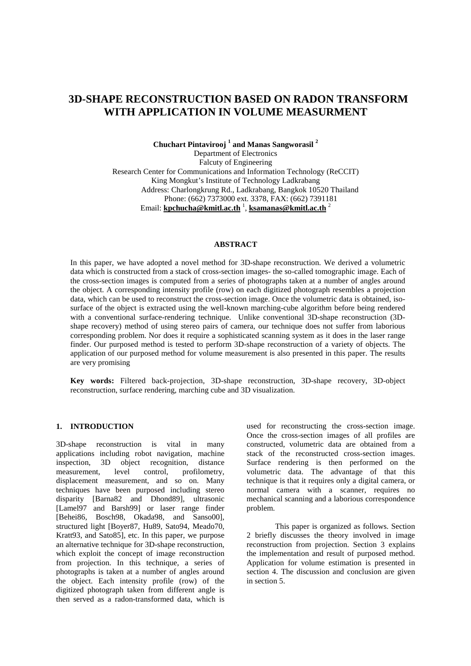# **3D-SHAPE RECONSTRUCTION BASED ON RADON TRANSFORM WITH APPLICATION IN VOLUME MEASURMENT**

**Chuchart Pintavirooj <sup>1</sup> and Manas Sangworasil <sup>2</sup>** Department of Electronics Falcuty of Engineering Research Center for Communications and Information Technology (ReCCIT) King Mongkut's Institute of Technology Ladkrabang Address: Charlongkrung Rd., Ladkrabang, Bangkok 10520 Thailand Phone: (662) 7373000 ext. 3378, FAX: (662) 7391181 Email: **kpchucha@kmitl.ac.th** 1 , **ksamanas@kmitl.ac.th** 2

#### **ABSTRACT**

In this paper, we have adopted a novel method for 3D-shape reconstruction. We derived a volumetric data which is constructed from a stack of cross-section images- the so-called tomographic image. Each of the cross-section images is computed from a series of photographs taken at a number of angles around the object. A corresponding intensity profile (row) on each digitized photograph resembles a projection data, which can be used to reconstruct the cross-section image. Once the volumetric data is obtained, isosurface of the object is extracted using the well-known marching-cube algorithm before being rendered with a conventional surface-rendering technique. Unlike conventional 3D-shape reconstruction (3Dshape recovery) method of using stereo pairs of camera, our technique does not suffer from laborious corresponding problem. Nor does it require a sophisticated scanning system as it does in the laser range finder. Our purposed method is tested to perform 3D-shape reconstruction of a variety of objects. The application of our purposed method for volume measurement is also presented in this paper. The results are very promising

**Key words:** Filtered back-projection, 3D-shape reconstruction, 3D-shape recovery, 3D-object reconstruction, surface rendering, marching cube and 3D visualization.

### **1. INTRODUCTION**

3D-shape reconstruction is vital in many applications including robot navigation, machine<br>inspection, 3D object recognition, distance object recognition, distance<br>level control, profilometry, measurement, level control, profilometry, displacement measurement, and so on. Many techniques have been purposed including stereo disparity [Barna82 and Dhond89], ultrasonic [Lamel97 and Barsh99] or laser range finder [Behei86, Bosch98, Okada98, and Sanso00], structured light [Boyer87, Hu89, Sato94, Meado70, Kratt93, and Sato85], etc. In this paper, we purpose an alternative technique for 3D-shape reconstruction, which exploit the concept of image reconstruction from projection. In this technique, a series of photographs is taken at a number of angles around the object. Each intensity profile (row) of the digitized photograph taken from different angle is then served as a radon-transformed data, which is used for reconstructing the cross-section image. Once the cross-section images of all profiles are constructed, volumetric data are obtained from a stack of the reconstructed cross-section images. Surface rendering is then performed on the volumetric data. The advantage of that this technique is that it requires only a digital camera, or normal camera with a scanner, requires no mechanical scanning and a laborious correspondence problem.

This paper is organized as follows. Section 2 briefly discusses the theory involved in image reconstruction from projection. Section 3 explains the implementation and result of purposed method. Application for volume estimation is presented in section 4. The discussion and conclusion are given in section 5.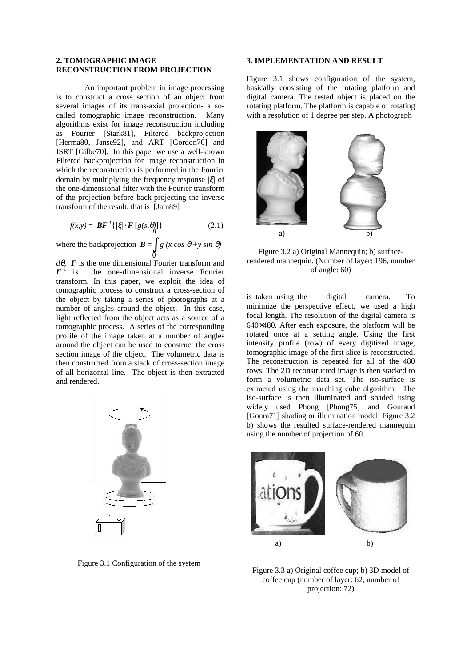#### **2. TOMOGRAPHIC IMAGE RECONSTRUCTION FROM PROJECTION**

An important problem in image processing is to construct a cross section of an object from several images of its trans-axial projection- a socalled tomographic image reconstruction. Many algorithms exist for image reconstruction including as Fourier [Stark81], Filtered backprojection [Herma80, Janse92], and ART [Gordon70] and ISRT [Gilbe70]. In this paper we use a well-known Filtered backprojection for image reconstruction in which the reconstruction is performed in the Fourier domain by multiplying the frequency response *|*ξ*|* of the one-dimensional filter with the Fourier transform of the projection before back-projecting the inverse transform of the result, that is [Jain89]

$$
f(x,y) = \boldsymbol{B} \boldsymbol{F}^{-1} \{ / \xi / \cdot \boldsymbol{F} \left[ g(s, \theta) \right] \} \tag{2.1}
$$

where the backprojection  $\mathbf{B} = \int g(x \cos \theta + y \sin \theta)$ 

*d*θ*, F* is the one dimensional Fourier transform and  $F^{-1}$  is the one-dimensional inverse Fourier transform. In this paper, we exploit the idea of tomographic process to construct a cross-section of the object by taking a series of photographs at a number of angles around the object. In this case, light reflected from the object acts as a source of a tomographic process. A series of the corresponding profile of the image taken at a number of angles around the object can be used to construct the cross section image of the object. The volumetric data is then constructed from a stack of cross-section image of all horizontal line. The object is then extracted and rendered.



Figure 3.1 Configuration of the system

#### **3. IMPLEMENTATION AND RESULT**

Figure 3.1 shows configuration of the system, basically consisting of the rotating platform and digital camera. The tested object is placed on the rotating platform. The platform is capable of rotating with a resolution of 1 degree per step. A photograph



Figure 3.2 a) Original Mannequin; b) surfacerendered mannequin. (Number of layer: 196, number of angle: 60)

is taken using the digital camera. To minimize the perspective effect, we used a high focal length. The resolution of the digital camera is 640×480. After each exposure, the platform will be rotated once at a setting angle. Using the first intensity profile (row) of every digitized image, tomographic image of the first slice is reconstructed. The reconstruction is repeated for all of the 480 rows. The 2D reconstructed image is then stacked to form a volumetric data set. The iso-surface is extracted using the marching cube algorithm. The iso-surface is then illuminated and shaded using widely used Phong [Phong75] and Gouraud [Goura71] shading or illumination model. Figure 3.2 b) shows the resulted surface-rendered mannequin using the number of projection of 60.



Figure 3.3 a) Original coffee cup; b) 3D model of coffee cup (number of layer: 62, number of projection: 72)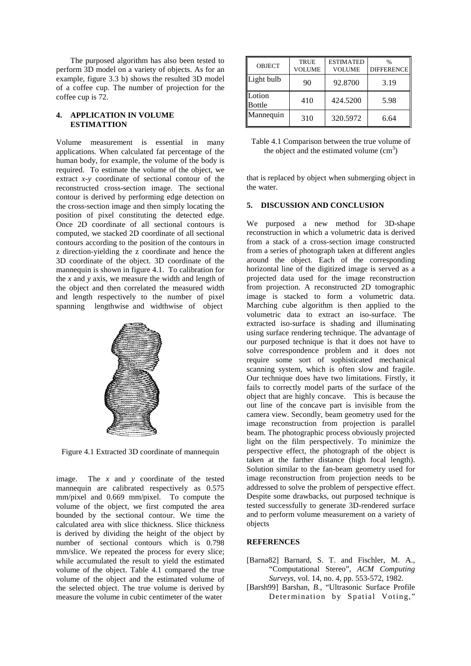The purposed algorithm has also been tested to perform 3D model on a variety of objects. As for an example, figure 3.3 b) shows the resulted 3D model of a coffee cup. The number of projection for the coffee cup is 72.

#### **4. APPLICATION IN VOLUME ESTIMATTION**

Volume measurement is essential in many applications. When calculated fat percentage of the human body, for example, the volume of the body is required. To estimate the volume of the object, we extract *x-y* coordinate of sectional contour of the reconstructed cross-section image. The sectional contour is derived by performing edge detection on the cross-section image and then simply locating the position of pixel constituting the detected edge. Once 2D coordinate of all sectional contours is computed, we stacked 2D coordinate of all sectional contours according to the position of the contours in z direction-yielding the z coordinate and hence the 3D coordinate of the object. 3D coordinate of the mannequin is shown in figure 4.1. To calibration for the *x* and *y* axis, we measure the width and length of the object and then correlated the measured width and length respectively to the number of pixel spanning lengthwise and widthwise of object



Figure 4.1 Extracted 3D coordinate of mannequin

image. The *x* and *y* coordinate of the tested mannequin are calibrated respectively as 0.575 mm/pixel and 0.669 mm/pixel. To compute the volume of the object, we first computed the area bounded by the sectional contour. We time the calculated area with slice thickness. Slice thickness is derived by dividing the height of the object by number of sectional contours which is 0.798 mm/slice. We repeated the process for every slice; while accumulated the result to yield the estimated volume of the object. Table 4.1 compared the true volume of the object and the estimated volume of the selected object. The true volume is derived by measure the volume in cubic centimeter of the water

| <b>OBJECT</b>           | <b>TRUE</b><br><b>VOLUME</b> | <b>ESTIMATED</b><br><b>VOLUME</b> | $\frac{0}{0}$<br><b>DIFFERENCE</b> |
|-------------------------|------------------------------|-----------------------------------|------------------------------------|
| Light bulb              | 90                           | 92.8700                           | 3.19                               |
| Lotion<br><b>Bottle</b> | 410                          | 424.5200                          | 5.98                               |
| Mannequin               | 310                          | 320.5972                          | 6.64                               |

| Table 4.1 Comparison between the true volume of |
|-------------------------------------------------|
| the object and the estimated volume $(cm3)$     |

that is replaced by object when submerging object in the water.

## **5. DISCUSSION AND CONCLUSION**

We purposed a new method for 3D-shape reconstruction in which a volumetric data is derived from a stack of a cross-section image constructed from a series of photograph taken at different angles around the object. Each of the corresponding horizontal line of the digitized image is served as a projected data used for the image reconstruction from projection. A reconstructed 2D tomographic image is stacked to form a volumetric data. Marching cube algorithm is then applied to the volumetric data to extract an iso-surface. The extracted iso-surface is shading and illuminating using surface rendering technique. The advantage of our purposed technique is that it does not have to solve correspondence problem and it does not require some sort of sophisticated mechanical scanning system, which is often slow and fragile. Our technique does have two limitations. Firstly, it fails to correctly model parts of the surface of the object that are highly concave. This is because the out line of the concave part is invisible from the camera view. Secondly, beam geometry used for the image reconstruction from projection is parallel beam. The photographic process obviously projected light on the film perspectively. To minimize the perspective effect, the photograph of the object is taken at the farther distance (high focal length). Solution similar to the fan-beam geometry used for image reconstruction from projection needs to be addressed to solve the problem of perspective effect. Despite some drawbacks, out purposed technique is tested successfully to generate 3D-rendered surface and to perform volume measurement on a variety of objects

#### **REFERENCES**

- [Barna82] Barnard, S. T. and Fischler, M. A., "Computational Stereo", *ACM Computing Surveys,* vol. 14, no. 4, pp. 553-572, 1982.
- [Barsh99] Barshan*, B.*, "Ultrasonic Surface Profile Determination by Spatial Voting,"